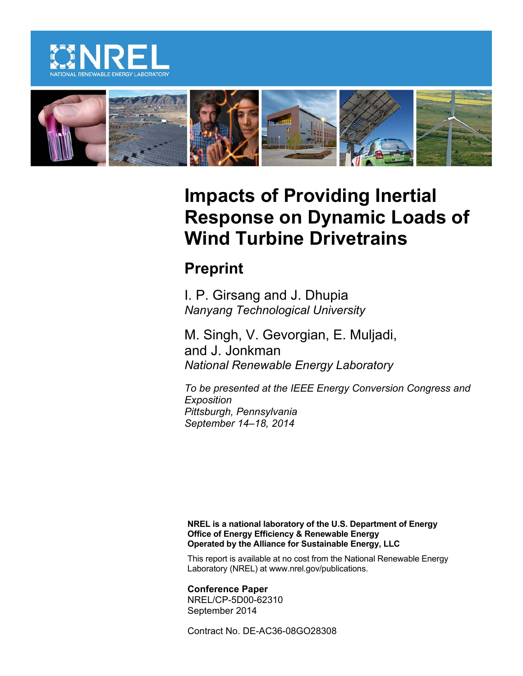



# **Impacts of Providing Inertial Response on Dynamic Loads of Wind Turbine Drivetrains**

# **Preprint**

I. P. Girsang and J. Dhupia *Nanyang Technological University*

M. Singh, V. Gevorgian, E. Muljadi, and J. Jonkman *National Renewable Energy Laboratory*

*To be presented at the IEEE Energy Conversion Congress and Exposition Pittsburgh, Pennsylvania September 14–18, 2014*

**NREL is a national laboratory of the U.S. Department of Energy Office of Energy Efficiency & Renewable Energy Operated by the Alliance for Sustainable Energy, LLC**

This report is available at no cost from the National Renewable Energy Laboratory (NREL) at www.nrel.gov/publications.

**Conference Paper** NREL/CP-5D00-62310 September 2014

Contract No. DE-AC36-08GO28308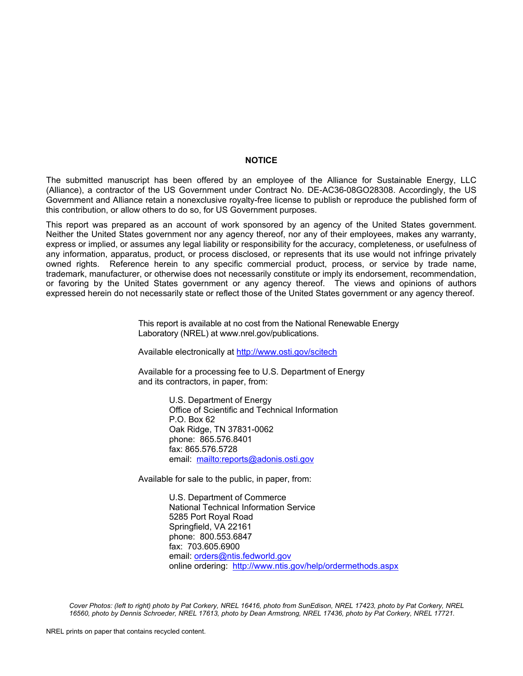# **NOTICE**

The submitted manuscript has been offered by an employee of the Alliance for Sustainable Energy, LLC (Alliance), a contractor of the US Government under Contract No. DE-AC36-08GO28308. Accordingly, the US Government and Alliance retain a nonexclusive royalty-free license to publish or reproduce the published form of this contribution, or allow others to do so, for US Government purposes.

This report was prepared as an account of work sponsored by an agency of the United States government. Neither the United States government nor any agency thereof, nor any of their employees, makes any warranty, express or implied, or assumes any legal liability or responsibility for the accuracy, completeness, or usefulness of any information, apparatus, product, or process disclosed, or represents that its use would not infringe privately owned rights. Reference herein to any specific commercial product, process, or service by trade name, trademark, manufacturer, or otherwise does not necessarily constitute or imply its endorsement, recommendation, or favoring by the United States government or any agency thereof. The views and opinions of authors expressed herein do not necessarily state or reflect those of the United States government or any agency thereof.

> This report is available at no cost from the National Renewable Energy Laboratory (NREL) at www.nrel.gov/publications.

Available electronically at<http://www.osti.gov/scitech>

Available for a processing fee to U.S. Department of Energy and its contractors, in paper, from:

> U.S. Department of Energy Office of Scientific and Technical Information P.O. Box 62 Oak Ridge, TN 37831-0062 phone: 865.576.8401 fax: 865.576.5728 email: <mailto:reports@adonis.osti.gov>

Available for sale to the public, in paper, from:

U.S. Department of Commerce National Technical Information Service 5285 Port Royal Road Springfield, VA 22161 phone: 800.553.6847 fax: 703.605.6900 email: [orders@ntis.fedworld.gov](mailto:orders@ntis.fedworld.gov) online ordering: <http://www.ntis.gov/help/ordermethods.aspx>

*Cover Photos: (left to right) photo by Pat Corkery, NREL 16416, photo from SunEdison, NREL 17423, photo by Pat Corkery, NREL 16560, photo by Dennis Schroeder, NREL 17613, photo by Dean Armstrong, NREL 17436, photo by Pat Corkery, NREL 17721.*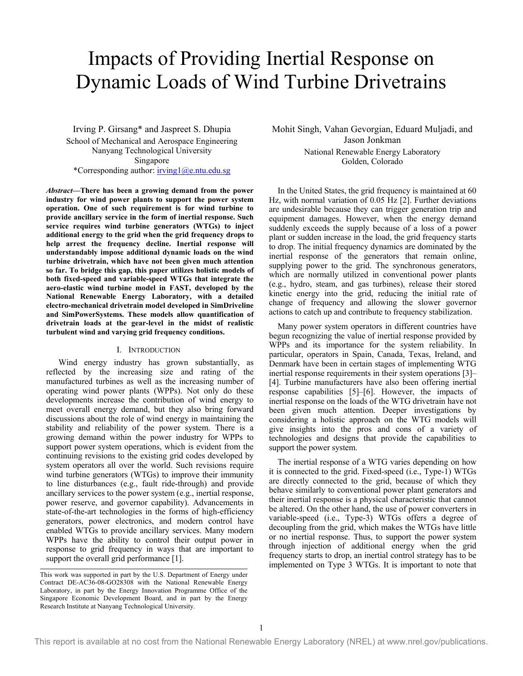# Impacts of Providing Inertial Response on Dynamic Loads of Wind Turbine Drivetrains

Irving P. Girsang\* and Jaspreet S. Dhupia School of Mechanical and Aerospace Engineering Nanyang Technological University Singapore \*Corresponding author: irving1@e.ntu.edu.sg

*Abstract***—There has been a gr[owing demand from th](mailto:irving1@e.ntu.edu.sg)e power industry for wind power plants to support the power system operation. One of such requirement is for wind turbine to provide ancillary service in the form of inertial response. Such service requires wind turbine generators (WTGs) to inject additional energy to the grid when the grid frequency drops to help arrest the frequency decline. Inertial response will understandably impose additional dynamic loads on the wind turbine drivetrain, which have not been given much attention so far. To bridge this gap, this paper utilizes holistic models of both fixed-speed and variable-speed WTGs that integrate the aero-elastic wind turbine model in FAST, developed by the National Renewable Energy Laboratory, with a detailed electro-mechanical drivetrain model developed in SimDriveline and SimPowerSystems. These models allow quantification of drivetrain loads at the gear-level in the midst of realistic turbulent wind and varying grid frequency conditions.** 

#### I. INTRODUCTION

Wind energy industry has grown substantially, as reflected by the increasing size and rating of the manufactured turbines as well as the increasing number of operating wind power plants (WPPs). Not only do these developments increase the contribution of wind energy to meet overall energy demand, but they also bring forward discussions about the role of wind energy in maintaining the stability and reliability of the power system. There is a growing demand within the power industry for WPPs to support power system operations, which is evident from the continuing revisions to the existing grid codes developed by system operators all over the world. Such revisions require wind turbine generators (WTGs) to improve their immunity to line disturbances (e.g., fault ride-through) and provide ancillary services to the power system (e.g., inertial response, power reserve, and governor capability). Advancements in state-of-the-art technologies in the forms of high-efficiency generators, power electronics, and modern control have enabled WTGs to provide ancillary services. Many modern WPPs have the ability to control their output power in response to grid frequency in ways that are important to support the overall grid performance [1].

Mohit Singh, Vahan Gevorgian, Eduard Muljadi, and Jason Jonkman National Renewable Energy Laboratory Golden, Colorado

In the United States, the grid frequency is maintained at 60 Hz, with normal variation of 0.05 Hz [2]. Further deviations are undesirable because they can trigger generation trip and equipment damages. However, when the energy demand suddenly exceeds the supply because of a loss of a power plant or sudden increase in the load, the grid frequency starts to drop. The initial frequency dynamics are dominated by the inertial response of the generators that remain online, supplying power to the grid. The synchronous generators, which are normally utilized in conventional power plants (e.g., hydro, steam, and gas turbines), release their stored kinetic energy into the grid, reducing the initial rate of change of frequency and allowing the slower governor actions to catch up and contribute to frequency stabilization.

Many power system operators in different countries have begun recognizing the value of inertial response provided by WPPs and its importance for the system reliability. In particular, operators in Spain, Canada, Texas, Ireland, and Denmark have been in certain stages of implementing WTG inertial response requirements in their system operations [3]– [4]. Turbine manufacturers have also been offering inertial response capabilities [5]–[6]. However, the impacts of inertial response on the loads of the WTG drivetrain have not been given much attention. Deeper investigations by considering a holistic approach on the WTG models will give insights into the pros and cons of a variety of technologies and designs that provide the capabilities to support the power system.

The inertial response of a WTG varies depending on how it is connected to the grid. Fixed-speed (i.e., Type-1) WTGs are directly connected to the grid, because of which they behave similarly to conventional power plant generators and their inertial response is a physical characteristic that cannot be altered. On the other hand, the use of power converters in variable-speed (i.e., Type-3) WTGs offers a degree of decoupling from the grid, which makes the WTGs have little or no inertial response. Thus, to support the power system through injection of additional energy when the grid frequency starts to drop, an inertial control strategy has to be implemented on Type 3 WTGs. It is important to note that

This work was supported in part by the U.S. Department of Energy under Contract DE-AC36-08-GO28308 with the National Renewable Energy Laboratory, in part by the Energy Innovation Programme Office of the Singapore Economic Development Board, and in part by the Energy Research Institute at Nanyang Technological University.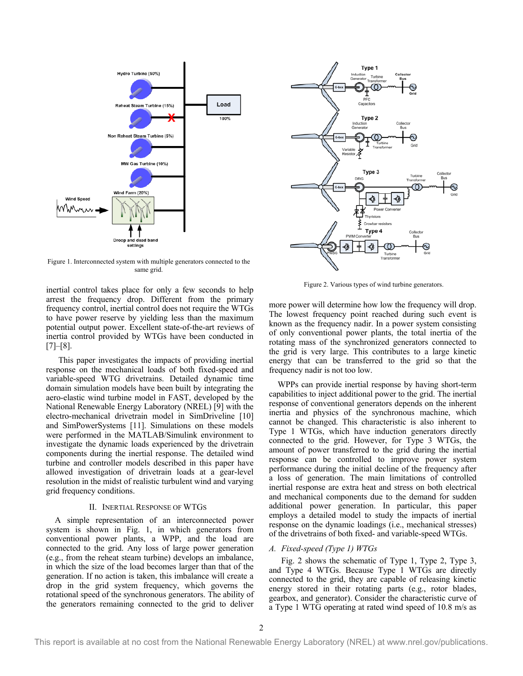

Figure 1. Interconnected system with multiple generators connected to the same grid.

inertial control takes place for only a few seconds to help arrest the frequency drop. Different from the primary frequency control, inertial control does not require the WTGs to have power reserve by yielding less than the maximum potential output power. Excellent state-of-the-art reviews of inertia control provided by WTGs have been conducted in [7]–[8].

This paper investigates the impacts of providing inertial response on the mechanical loads of both fixed-speed and variable-speed WTG drivetrains. Detailed dynamic time domain simulation models have been built by integrating the aero-elastic wind turbine model in FAST, developed by the National Renewable Energy Laboratory (NREL) [9] with the electro-mechanical drivetrain model in SimDriveline [10] and SimPowerSystems [11]. Simulations on these models were performed in the MATLAB/Simulink environment to investigate the dynamic loads experienced by the drivetrain components during the inertial response. The detailed wind turbine and controller models described in this paper have allowed investigation of drivetrain loads at a gear-level resolution in the midst of realistic turbulent wind and varying grid frequency conditions.

#### II. INERTIAL RESPONSE OF WTGS

A simple representation of an interconnected power system is shown in Fig. 1, in which generators from conventional power plants, a WPP, and the load are connected to the grid. Any loss of large power generation (e.g., from the reheat steam turbine) develops an imbalance, in which the size of the load becomes larger than that of the generation. If no action is taken, this imbalance will create a drop in the grid system frequency, which governs the rotational speed of the synchronous generators. The ability of the generators remaining connected to the grid to deliver



Figure 2. Various types of wind turbine generators.

more power will determine how low the frequency will drop. The lowest frequency point reached during such event is known as the frequency nadir. In a power system consisting of only conventional power plants, the total inertia of the rotating mass of the synchronized generators connected to the grid is very large. This contributes to a large kinetic energy that can be transferred to the grid so that the frequency nadir is not too low.

WPPs can provide inertial response by having short-term capabilities to inject additional power to the grid. The inertial response of conventional generators depends on the inherent inertia and physics of the synchronous machine, which cannot be changed. This characteristic is also inherent to Type 1 WTGs, which have induction generators directly connected to the grid. However, for Type 3 WTGs, the amount of power transferred to the grid during the inertial response can be controlled to improve power system performance during the initial decline of the frequency after a loss of generation. The main limitations of controlled inertial response are extra heat and stress on both electrical and mechanical components due to the demand for sudden additional power generation. In particular, this paper employs a detailed model to study the impacts of inertial response on the dynamic loadings (i.e., mechanical stresses) of the drivetrains of both fixed- and variable-speed WTGs.

## *A. Fixed-speed (Type 1) WTGs*

Fig. 2 shows the schematic of Type 1, Type 2, Type 3, and Type 4 WTGs. Because Type 1 WTGs are directly connected to the grid, they are capable of releasing kinetic energy stored in their rotating parts (e.g., rotor blades, gearbox, and generator). Consider the characteristic curve of a Type 1 WTG operating at rated wind speed of 10.8 m/s as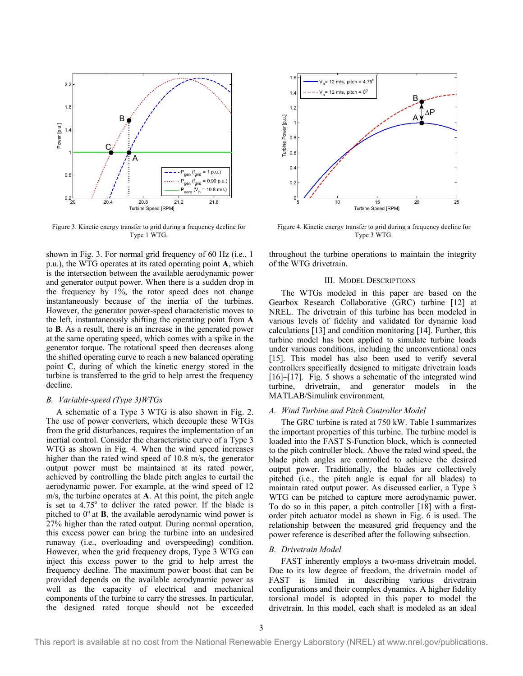

Figure 3. Kinetic energy transfer to grid during a frequency decline for Type 1 WTG.

shown in Fig. 3. For normal grid frequency of 60 Hz (i.e., 1 p.u.), the WTG operates at its rated operating point **A**, which is the intersection between the available aerodynamic power and generator output power. When there is a sudden drop in the frequency by 1%, the rotor speed does not change instantaneously because of the inertia of the turbines. However, the generator power-speed characteristic moves to the left, instantaneously shifting the operating point from **A** to **B**. As a result, there is an increase in the generated power at the same operating speed, which comes with a spike in the generator torque. The rotational speed then decreases along the shifted operating curve to reach a new balanced operating point **C**, during of which the kinetic energy stored in the turbine is transferred to the grid to help arrest the frequency decline.

## *B. Variable-speed (Type 3)WTGs*

A schematic of a Type 3 WTG is also shown in Fig. 2. The use of power converters, which decouple these WTGs from the grid disturbances, requires the implementation of an inertial control. Consider the characteristic curve of a Type 3 WTG as shown in Fig. 4. When the wind speed increases higher than the rated wind speed of 10.8 m/s, the generator output power must be maintained at its rated power, achieved by controlling the blade pitch angles to curtail the aerodynamic power. For example, at the wind speed of 12 m/s, the turbine operates at **A**. At this point, the pitch angle is set to  $4.75^{\circ}$  to deliver the rated power. If the blade is pitched to  $0^{\circ}$  at **B**, the available aerodynamic wind power is 27% higher than the rated output. During normal operation, this excess power can bring the turbine into an undesired runaway (i.e., overloading and overspeeding) condition. However, when the grid frequency drops, Type 3 WTG can inject this excess power to the grid to help arrest the frequency decline. The maximum power boost that can be provided depends on the available aerodynamic power as well as the capacity of electrical and mechanical components of the turbine to carry the stresses. In particular, the designed rated torque should not be exceeded



Figure 4. Kinetic energy transfer to grid during a frequency decline for Type 3 WTG.

throughout the turbine operations to maintain the integrity of the WTG drivetrain.

# **III** MODEL DESCRIPTIONS

The WTGs modeled in this paper are based on the Gearbox Research Collaborative (GRC) turbine [12] at NREL. The drivetrain of this turbine has been modeled in various levels of fidelity and validated for dynamic load calculations [13] and condition monitoring [14]. Further, this turbine model has been applied to simulate turbine loads under various conditions, including the unconventional ones [15]. This model has also been used to verify several controllers specifically designed to mitigate drivetrain loads [16]–[17]. Fig. 5 shows a schematic of the integrated wind turbine, drivetrain, and generator models in the MATLAB/Simulink environment.

#### *A. Wind Turbine and Pitch Controller Model*

The GRC turbine is rated at 750 kW. Table I summarizes the important properties of this turbine. The turbine model is loaded into the FAST S-Function block, which is connected to the pitch controller block. Above the rated wind speed, the blade pitch angles are controlled to achieve the desired output power. Traditionally, the blades are collectively pitched (i.e., the pitch angle is equal for all blades) to maintain rated output power. As discussed earlier, a Type 3 WTG can be pitched to capture more aerodynamic power. To do so in this paper, a pitch controller [18] with a firstorder pitch actuator model as shown in Fig. 6 is used. The relationship between the measured grid frequency and the power reference is described after the following subsection.

#### *B. Drivetrain Model*

FAST inherently employs a two-mass drivetrain model. Due to its low degree of freedom, the drivetrain model of FAST is limited in describing various drivetrain configurations and their complex dynamics. A higher fidelity torsional model is adopted in this paper to model the drivetrain. In this model, each shaft is modeled as an ideal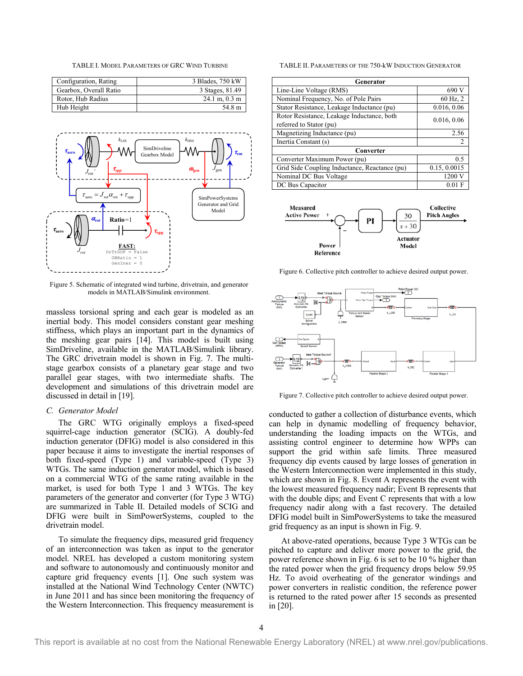TABLE I. MODEL PARAMETERS OF GRC WIND TURBINE

| Configuration, Rating  | 3 Blades, 750 kW                |
|------------------------|---------------------------------|
| Gearbox, Overall Ratio | 3 Stages, 81.49                 |
| Rotor, Hub Radius      | $24.1 \text{ m}, 0.3 \text{ m}$ |
| Hub Height             | 54.8 m                          |



Figure 5. Schematic of integrated wind turbine, drivetrain, and generator models in MATLAB/Simulink environment.

massless torsional spring and each gear is modeled as an inertial body. This model considers constant gear meshing stiffness, which plays an important part in the dynamics of the meshing gear pairs [14]. This model is built using SimDriveline, available in the MATLAB/Simulink library. The GRC drivetrain model is shown in Fig. 7. The multistage gearbox consists of a planetary gear stage and two parallel gear stages, with two intermediate shafts. The development and simulations of this drivetrain model are discussed in detail in [19].

## *C. Generator Model*

The GRC WTG originally employs a fixed-speed squirrel-cage induction generator (SCIG). A doubly-fed induction generator (DFIG) model is also considered in this paper because it aims to investigate the inertial responses of both fixed-speed (Type 1) and variable-speed (Type 3) WTGs. The same induction generator model, which is based on a commercial WTG of the same rating available in the market, is used for both Type 1 and 3 WTGs. The key parameters of the generator and converter (for Type 3 WTG) are summarized in Table II. Detailed models of SCIG and DFIG were built in SimPowerSystems, coupled to the drivetrain model.

To simulate the frequency dips, measured grid frequency of an interconnection was taken as input to the generator model. NREL has developed a custom monitoring system and software to autonomously and continuously monitor and capture grid frequency events [1]. One such system was installed at the National Wind Technology Center (NWTC) in June 2011 and has since been monitoring the frequency of the Western Interconnection. This frequency measurement is

TABLE II. PARAMETERS OF THE 750-kW INDUCTION GENERATOR

| Generator                                     |                  |  |  |  |
|-----------------------------------------------|------------------|--|--|--|
| Line-Line Voltage (RMS)                       | 690 V            |  |  |  |
| Nominal Frequency, No. of Pole Pairs          | 60 Hz, 2         |  |  |  |
| Stator Resistance, Leakage Inductance (pu)    | 0.016, 0.06      |  |  |  |
| Rotor Resistance, Leakage Inductance, both    | 0.016, 0.06      |  |  |  |
| referred to Stator (pu)                       |                  |  |  |  |
| Magnetizing Inductance (pu)                   | 2.56             |  |  |  |
| Inertia Constant (s)                          | $\mathfrak{D}$   |  |  |  |
| Converter                                     |                  |  |  |  |
| Converter Maximum Power (pu)                  | 0.5              |  |  |  |
| Grid Side Coupling Inductance, Reactance (pu) | 0.15, 0.0015     |  |  |  |
| Nominal DC Bus Voltage                        | 1200 V           |  |  |  |
| DC Bus Capacitor                              | $0.01 \text{ F}$ |  |  |  |



Figure 6. Collective pitch controller to achieve desired output power.



Figure 7. Collective pitch controller to achieve desired output power.

conducted to gather a collection of disturbance events, which can help in dynamic modelling of frequency behavior, understanding the loading impacts on the WTGs, and assisting control engineer to determine how WPPs can support the grid within safe limits. Three measured frequency dip events caused by large losses of generation in the Western Interconnection were implemented in this study, which are shown in Fig. 8. Event A represents the event with the lowest measured frequency nadir; Event B represents that with the double dips; and Event C represents that with a low frequency nadir along with a fast recovery. The detailed DFIG model built in SimPowerSystems to take the measured grid frequency as an input is shown in Fig. 9.

At above-rated operations, because Type 3 WTGs can be pitched to capture and deliver more power to the grid, the power reference shown in Fig. 6 is set to be 10 % higher than the rated power when the grid frequency drops below 59.95 Hz. To avoid overheating of the generator windings and power converters in realistic condition, the reference power is returned to the rated power after 15 seconds as presented in [20].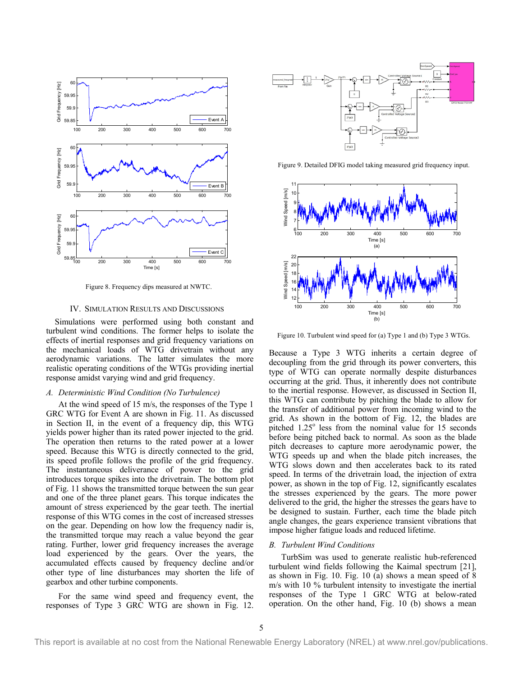

Figure 8. Frequency dips measured at NWTC.

# IV. SIMULATION RESULTS AND DISCUSSIONS

Simulations were performed using both constant and turbulent wind conditions. The former helps to isolate the effects of inertial responses and grid frequency variations on the mechanical loads of WTG drivetrain without any aerodynamic variations. The latter simulates the more realistic operating conditions of the WTGs providing inertial response amidst varying wind and grid frequency.

#### *A. Deterministic Wind Condition (No Turbulence)*

At the wind speed of 15 m/s, the responses of the Type 1 GRC WTG for Event A are shown in Fig. 11. As discussed in Section II, in the event of a frequency dip, this WTG yields power higher than its rated power injected to the grid. The operation then returns to the rated power at a lower speed. Because this WTG is directly connected to the grid, its speed profile follows the profile of the grid frequency. The instantaneous deliverance of power to the grid introduces torque spikes into the drivetrain. The bottom plot of Fig. 11 shows the transmitted torque between the sun gear and one of the three planet gears. This torque indicates the amount of stress experienced by the gear teeth. The inertial response of this WTG comes in the cost of increased stresses on the gear. Depending on how low the frequency nadir is, the transmitted torque may reach a value beyond the gear rating. Further, lower grid frequency increases the average load experienced by the gears. Over the years, the accumulated effects caused by frequency decline and/or other type of line disturbances may shorten the life of gearbox and other turbine components.

For the same wind speed and frequency event, the responses of Type 3 GRC WTG are shown in Fig. 12.



Figure 9. Detailed DFIG model taking measured grid frequency input.



Figure 10. Turbulent wind speed for (a) Type 1 and (b) Type 3 WTGs.

Because a Type 3 WTG inherits a certain degree of decoupling from the grid through its power converters, this type of WTG can operate normally despite disturbances occurring at the grid. Thus, it inherently does not contribute to the inertial response. However, as discussed in Section II, this WTG can contribute by pitching the blade to allow for the transfer of additional power from incoming wind to the grid. As shown in the bottom of Fig. 12, the blades are pitched  $1.25^{\circ}$  less from the nominal value for 15 seconds before being pitched back to normal. As soon as the blade pitch decreases to capture more aerodynamic power, the WTG speeds up and when the blade pitch increases, the WTG slows down and then accelerates back to its rated speed. In terms of the drivetrain load, the injection of extra power, as shown in the top of Fig. 12, significantly escalates the stresses experienced by the gears. The more power delivered to the grid, the higher the stresses the gears have to be designed to sustain. Further, each time the blade pitch angle changes, the gears experience transient vibrations that impose higher fatigue loads and reduced lifetime.

#### *B. Turbulent Wind Conditions*

TurbSim was used to generate realistic hub-referenced turbulent wind fields following the Kaimal spectrum [21], as shown in Fig. 10. Fig. 10 (a) shows a mean speed of 8 m/s with 10 % turbulent intensity to investigate the inertial responses of the Type 1 GRC WTG at below-rated operation. On the other hand, Fig. 10 (b) shows a mean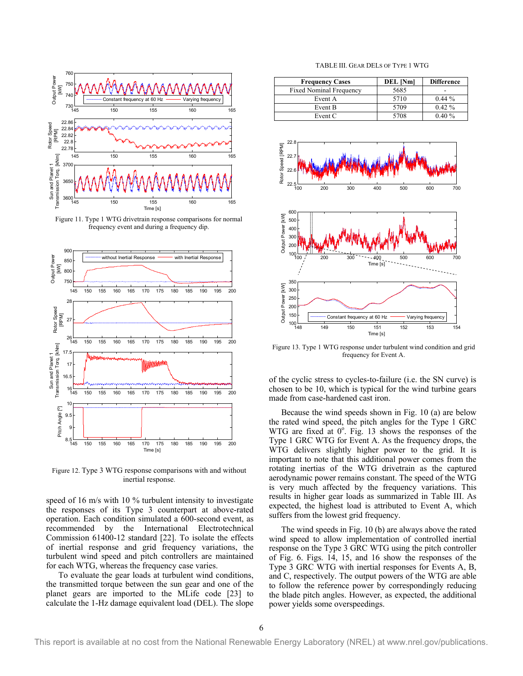

Figure 11. Type 1 WTG drivetrain response comparisons for normal frequency event and during a frequency dip.



Figure 12. Type 3 WTG response comparisons with and without inertial response.

speed of 16 m/s with 10 % turbulent intensity to investigate the responses of its Type 3 counterpart at above-rated operation. Each condition simulated a 600-second event, as recommended by the International Electrotechnical Commission 61400-12 standard [22]. To isolate the effects of inertial response and grid frequency variations, the turbulent wind speed and pitch controllers are maintained for each WTG, whereas the frequency case varies.

To evaluate the gear loads at turbulent wind conditions, the transmitted torque between the sun gear and one of the planet gears are imported to the MLife code [23] to calculate the 1-Hz damage equivalent load (DEL). The slope

| TABLE III. GEAR DELS OF TYPE 1 WTG |  |  |  |
|------------------------------------|--|--|--|
|------------------------------------|--|--|--|

| <b>Frequency Cases</b>         | DEL [Nm] | <b>Difference</b> |
|--------------------------------|----------|-------------------|
| <b>Fixed Nominal Frequency</b> | 5685     |                   |
| Event A                        | 5710     | $0.44\%$          |
| Event B                        | 5709     | $0.42\%$          |
| Event C                        | 5708     | 0.40%             |



Figure 13. Type 1 WTG response under turbulent wind condition and grid frequency for Event A.

of the cyclic stress to cycles-to-failure (i.e. the SN curve) is chosen to be 10, which is typical for the wind turbine gears made from case-hardened cast iron.

Because the wind speeds shown in Fig. 10 (a) are below the rated wind speed, the pitch angles for the Type 1 GRC WTG are fixed at  $0^{\circ}$ . Fig. 13 shows the responses of the Type 1 GRC WTG for Event A. As the frequency drops, the WTG delivers slightly higher power to the grid. It is important to note that this additional power comes from the rotating inertias of the WTG drivetrain as the captured aerodynamic power remains constant. The speed of the WTG is very much affected by the frequency variations. This results in higher gear loads as summarized in Table III. As expected, the highest load is attributed to Event A, which suffers from the lowest grid frequency.

The wind speeds in Fig. 10 (b) are always above the rated wind speed to allow implementation of controlled inertial response on the Type 3 GRC WTG using the pitch controller of Fig. 6. Figs. 14, 15, and 16 show the responses of the Type 3 GRC WTG with inertial responses for Events A, B, and C, respectively. The output powers of the WTG are able to follow the reference power by correspondingly reducing the blade pitch angles. However, as expected, the additional power yields some overspeedings.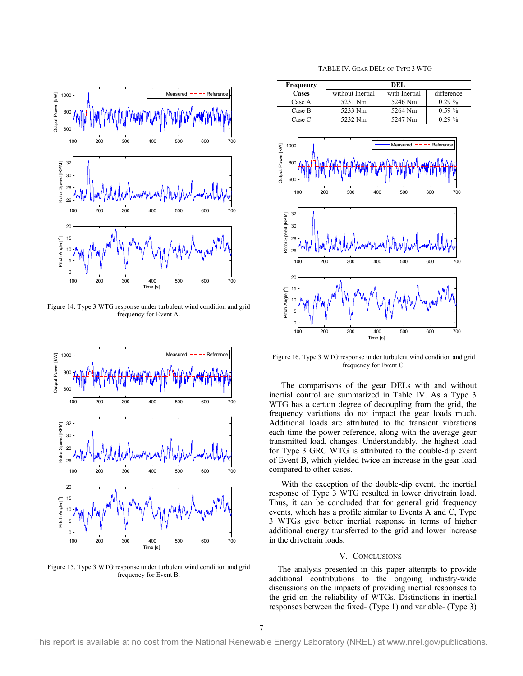

Figure 14. Type 3 WTG response under turbulent wind condition and grid frequency for Event A.



Figure 15. Type 3 WTG response under turbulent wind condition and grid frequency for Event B.

# TABLE IV. GEAR DELS OF TYPE 3 WTG

| Frequency | DEL.             |               |            |
|-----------|------------------|---------------|------------|
| Cases     | without Inertial | with Inertial | difference |
| Case A    | 5231 Nm          | 5246 Nm       | $0.29\%$   |
| Case B    | 5233 Nm          | 5264 Nm       | $0.59\%$   |
| Case C    | 5232 Nm          | 5247 Nm       | $0.29\%$   |



Figure 16. Type 3 WTG response under turbulent wind condition and grid frequency for Event C.

The comparisons of the gear DELs with and without inertial control are summarized in Table IV. As a Type 3 WTG has a certain degree of decoupling from the grid, the frequency variations do not impact the gear loads much. Additional loads are attributed to the transient vibrations each time the power reference, along with the average gear transmitted load, changes. Understandably, the highest load for Type 3 GRC WTG is attributed to the double-dip event of Event B, which yielded twice an increase in the gear load compared to other cases.

With the exception of the double-dip event, the inertial response of Type 3 WTG resulted in lower drivetrain load. Thus, it can be concluded that for general grid frequency events, which has a profile similar to Events A and C, Type 3 WTGs give better inertial response in terms of higher additional energy transferred to the grid and lower increase in the drivetrain loads.

# V. CONCLUSIONS

The analysis presented in this paper attempts to provide additional contributions to the ongoing industry-wide discussions on the impacts of providing inertial responses to the grid on the reliability of WTGs. Distinctions in inertial responses between the fixed- (Type 1) and variable- (Type 3)